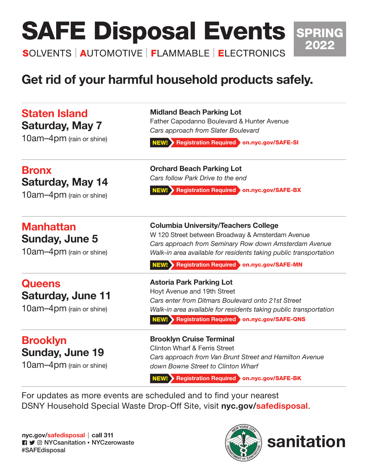# **SAFE Disposal Events SPRING**

**SOLVENTS | AUTOMOTIVE | FLAMMABLE | ELECTRONICS** 

## Get rid of your harmful household products safely.

| <b>Staten Island</b><br><b>Saturday, May 7</b><br>10am-4pm (rain or shine) | <b>Midland Beach Parking Lot</b><br>Father Capodanno Boulevard & Hunter Avenue<br>Cars approach from Slater Boulevard<br>NEW! Registration Required on.nyc.gov/SAFE-SI                                                                                                         |
|----------------------------------------------------------------------------|--------------------------------------------------------------------------------------------------------------------------------------------------------------------------------------------------------------------------------------------------------------------------------|
| <b>Bronx</b><br><b>Saturday, May 14</b><br>10am-4pm (rain or shine)        | <b>Orchard Beach Parking Lot</b><br>Cars follow Park Drive to the end<br>NEW! Registration Required on.nyc.gov/SAFE-BX                                                                                                                                                         |
| <b>Manhattan</b><br>Sunday, June 5<br>10am-4pm (rain or shine)             | <b>Columbia University/Teachers College</b><br>W 120 Street between Broadway & Amsterdam Avenue<br>Cars approach from Seminary Row down Amsterdam Avenue<br>Walk-in area available for residents taking public transportation<br>NEW! Registration Required on.nyc.gov/SAFE-MN |
| <b>Queens</b><br><b>Saturday, June 11</b><br>10am-4pm (rain or shine)      | <b>Astoria Park Parking Lot</b><br>Hoyt Avenue and 19th Street<br>Cars enter from Ditmars Boulevard onto 21st Street<br>Walk-in area available for residents taking public transportation<br>NEW! Registration Required on nyc.gov/SAFE-QNS                                    |
| <b>Brooklyn</b><br><b>Sunday, June 19</b><br>10am-4pm (rain or shine)      | <b>Brooklyn Cruise Terminal</b><br><b>Clinton Wharf &amp; Ferris Street</b><br>Cars approach from Van Brunt Street and Hamilton Avenue<br>down Bowne Street to Clinton Wharf<br>NEW! Registration Required on nyc.gov/SAFE-BK                                                  |
|                                                                            | For updates as more events are scheduled and to find your nearest                                                                                                                                                                                                              |

DSNY Household Special Waste Drop-Off Site, visit [nyc.gov/safedisposal](https://www1.nyc.gov/assets/dsny/site/services/harmful-products).

[nyc.gov/safedisposal](https://www1.nyc.gov/assets/dsny/site/services/harmful-products) | call 311 **n** y © NYCsanitation • NYCzerowaste #SAFEdisposal





2022